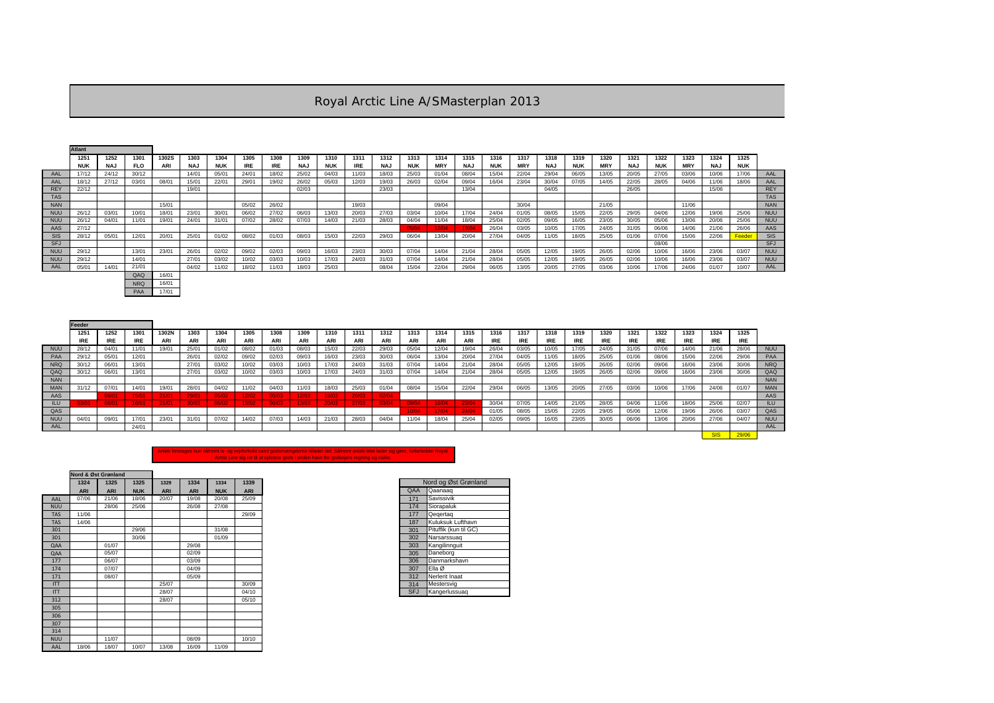PAA 17/01

|            | <b>Atlant</b> |            |            |              |            |       |       |            |            |            |       |            |            |            |            |       |            |            |       |            |            |            |            |       |               |            |
|------------|---------------|------------|------------|--------------|------------|-------|-------|------------|------------|------------|-------|------------|------------|------------|------------|-------|------------|------------|-------|------------|------------|------------|------------|-------|---------------|------------|
|            | 1251          | 1252       | 1301       | <b>1302S</b> | 1303       | 1304  | 1305  | 1308       | 1309       | 1310       | 1311  | 1312       | 1313       | 1314       | 1315       | 1316  | 1317       | 1318       | 1319  | 1320       | 1321       | 1322       | 1323       | 1324  | 1325          |            |
|            | <b>NUK</b>    | <b>NAJ</b> | <b>FLO</b> | <b>ARI</b>   | <b>NAJ</b> | NUK   | IRE.  | <b>IRE</b> | <b>NAJ</b> | <b>NUK</b> | IRE.  | <b>NAJ</b> | <b>NUK</b> | <b>MRY</b> | <b>NAJ</b> | NUK   | <b>MRY</b> | <b>NAJ</b> | NUK   | <b>MRY</b> | <b>NAJ</b> | <b>NUK</b> | <b>MRY</b> | NAJ   | <b>NUK</b>    |            |
| AAL        | 17/12         | 24/12      | 30/12      |              | 14/01      | 05/01 | 24/01 | 18/02      | 25/02      | 04/03      | 11/03 | 18/03      | 25/03      | 01/04      | 08/04      | 15/04 | 22/04      | 29/04      | 06/05 | 13/05      | 20/05      | 27/05      | 03/06      | 10/06 | 17/06         | AAL        |
| AAL        | 18/12         | 27/12      | 03/01      | 08/01        | 15/01      | 22/01 | 29/01 | 19/02      | 26/02      | 05/03      | 12/03 | 19/03      | 26/03      | 02/04      | 09/04      | 16/04 | 23/04      | 30/04      | 07/05 | 14/05      | 22/05      | 28/05      | 04/06      | 11/06 | 18/06         | AAL        |
| <b>REY</b> | 22/12         |            |            |              | 19/01      |       |       |            | 02/03      |            |       | 23/03      |            |            | 13/04      |       |            | 04/05      |       |            | 26/05      |            |            | 15/06 |               | <b>REY</b> |
| <b>TAS</b> |               |            |            |              |            |       |       |            |            |            |       |            |            |            |            |       |            |            |       |            |            |            |            |       |               | <b>TAS</b> |
| <b>NAN</b> |               |            |            | 15/01        |            |       | 05/02 | 26/02      |            |            | 19/03 |            |            | 09/04      |            |       | 30/04      |            |       | 21/05      |            |            | 11/06      |       |               | <b>NAN</b> |
| <b>NUU</b> | 26/12         | 03/01      | 10/01      | 18/01        | 23/01      | 30/01 | 06/02 | 27/02      | 06/03      | 13/03      | 20/03 | 27/03      | 03/04      | 10/04      | 17/04      | 24/04 | 01/05      | 08/05      | 15/05 | 22/05      | 29/05      | 04/06      | 12/06      | 19/06 | 25/06         | <b>NUU</b> |
| <b>NUU</b> | 26/12         | 04/01      | 11/01      | 19/01        | 24/01      | 31/01 | 07/02 | 28/02      | 07/03      | 14/03      | 21/03 | 28/03      | 04/04      | 11/04      | 18/04      | 25/04 | 02/05      | 09/05      | 16/05 | 23/05      | 30/05      | 05/06      | 13/06      | 20/06 | 25/06         | <b>NUU</b> |
| AAS        | 27/12         |            |            |              |            |       |       |            |            |            |       |            | 05/04      | 12/04      | 19/04      | 26/04 | 03/05      | 10/05      | 17/05 | 24/05      | 31/05      | 06/06      | 14/06      | 21/06 | 26/06         | AAS        |
| <b>SIS</b> | 28/12         | 05/01      | 12/01      | 20/01        | 25/01      | 01/02 | 08/02 | 01/03      | 08/03      | 15/03      | 22/03 | 29/03      | 06/04      | 13/04      | 20/04      | 27/04 | 04/05      | 11/05      | 18/05 | 25/05      | 01/06      | 07/06      | 15/06      | 22/06 | <b>Feeder</b> | <b>SIS</b> |
| <b>SFJ</b> |               |            |            |              |            |       |       |            |            |            |       |            |            |            |            |       |            |            |       |            |            | 08/06      |            |       |               | <b>SFJ</b> |
| <b>NUU</b> | 29/12         |            | 13/01      | 23/01        | 26/01      | 02/02 | 09/02 | 02/03      | 09/03      | 16/03      | 23/03 | 30/03      | 07/04      | 14/04      | 21/04      | 28/04 | 05/05      | 12/05      | 19/05 | 26/05      | 02/06      | 10/06      | 16/06      | 23/06 | 03/07         | <b>NUU</b> |
| <b>NUL</b> | 29/12         |            | 14/01      |              | 27/01      | 03/02 | 10/02 | 03/03      | 10/03      | 17/03      | 24/03 | 31/03      | 07/04      | 14/04      | 21/04      | 28/04 | 05/05      | 12/05      | 19/05 | 26/05      | 02/06      | 10/06      | 16/06      | 23/06 | 03/07         | <b>NUU</b> |
| AAL        | 05/01         | 14/01      | 21/01      |              | 04/02      | 11/02 | 18/02 | 11/03      | 18/03      | 25/03      |       | 08/04      | 15/04      | 22/04      | 29/04      | 06/05 | 13/05      | 20/05      | 27/05 | 03/06      | 10/06      | 17/06      | 24/06      | 01/07 | 10/07         | AAL        |
|            |               |            | QAQ        | 16/01        |            |       |       |            |            |            |       |            |            |            |            |       |            |            |       |            |            |            |            |       |               |            |
|            |               |            | <b>NRQ</b> | 16/01        |            |       |       |            |            |            |       |            |            |            |            |       |            |            |       |            |            |            |            |       |               |            |

|            | Feeder     |       |       |            |       |       |       |       |       |       |       |       |       |            |       |            |       |       |       |            |       |       |       |            |            |            |
|------------|------------|-------|-------|------------|-------|-------|-------|-------|-------|-------|-------|-------|-------|------------|-------|------------|-------|-------|-------|------------|-------|-------|-------|------------|------------|------------|
|            | 1251       | 1252  | 1301  | 1302N      | 1303  | 1304  | 1305  | 1308  | 1309  | 1310  | 1311  | 1312  | 1313  | 1314       | 1315  | 1316       | 1317  | 1318  | 1319  | 1320       | 1321  | 1322  | 1323  | 1324       | 1325       |            |
|            | <b>IRE</b> | IRE.  | IRE.  | <b>ARI</b> | ARI   | ARI   | ARI   | ARI   | ARI   | ARI   | ARI   | ARI   | ARI   | <b>ARI</b> | ARI   | <b>IRE</b> | IRE.  | IRE.  | IRE.  | <b>IRE</b> | IRE.  | IRE.  | IRE.  | <b>IRE</b> | <b>IRE</b> |            |
| <b>NUU</b> | 28/12      | 04/01 | 11/01 | 19/01      | 25/01 | 01/02 | 08/02 | 01/03 | 08/03 | 15/03 | 22/03 | 29/03 | 05/04 | 12/04      | 19/04 | 26/04      | 03/05 | 10/05 | 17/05 | 24/05      | 31/05 | 07/06 | 14/06 | 21/06      | 28/06      | <b>NUU</b> |
| <b>PAA</b> | 29/12      | 05/01 | 12/01 |            | 26/01 | 02/02 | 09/02 | 02/03 | 09/03 | 16/03 | 23/03 | 30/03 | 06/04 | 13/04      | 20/04 | 27/04      | 04/05 | 11/05 | 18/05 | 25/05      | 01/06 | 08/06 | 15/06 | 22/06      | 29/06      | PAA        |
| <b>NRQ</b> | 30/12      | 06/01 | 13/01 |            | 27/01 | 03/02 | 10/02 | 03/03 | 10/03 | 17/03 | 24/03 | 31/03 |       | 14/04      | 21/04 | 28/04      | 05/05 | 12/05 | 19/05 | 26/05      | 02/06 | 09/06 | 16/06 | 23/06      | 30/06      | <b>NRQ</b> |
| QAQ        | 30/12      | 06/01 | 13/01 |            | 27/01 | 03/02 | 10/02 | 03/03 | 10/03 | 17/03 | 24/03 | 31/03 | 07/04 | 14/04      | 21/04 | 28/04      | 05/05 | 12/05 | 19/05 | 26/05      | 02/06 | 09/06 | 16/06 | 23/06      | 30/06      | QAC        |
| <b>NAN</b> |            |       |       |            |       |       |       |       |       |       |       |       |       |            |       |            |       |       |       |            |       |       |       |            |            | <b>NAN</b> |
| <b>MAN</b> | 31/12      | 07/01 | 14/01 | 19/0.      | 28/01 | 04/02 | 11/02 | 04/03 | 11/03 | 18/03 | 25/03 | 01/04 | 08/04 | 15/04      | 22/04 | 29/04      | 06/05 | 13/05 | 20/05 | 27/05      | 03/06 | 10/06 | 17/06 | 24/06      | 01/07      | <b>MAN</b> |
| AAS        |            | 08/01 | 15/01 | 21/01      | 29/01 | 05/02 | 12/02 | 05/03 | 12/03 | 19/03 | 26/03 | 02/04 |       |            |       |            |       |       |       |            |       |       |       |            |            | AAS        |
| ILU.       | 3/01       | 08/01 | 16/01 | 21/01      | 30/01 | 06/02 | 13/02 | 06/03 | 13/03 | 20/03 | 27/03 | 03/04 | 09/04 | 16/04      | 23/04 | 30/04      | 07/05 | 14/05 | 21/05 | 28/05      | 04/06 | 11/06 | 18/06 | 25/06      | 02/07      | ILU        |
| QAS        |            |       |       |            |       |       |       |       |       |       |       |       | 0/04  | 17/04      | 24/04 | 01/05      | 08/05 | 15/05 | 22/05 | 29/05      | 05/06 | 12/06 | 19/06 | 26/06      | 03/07      | QAS        |
| <b>NUU</b> | 04/01      | 09/01 | 17/01 | 23/01      | 31/01 | 07/02 | 14/02 | 07/03 | 14/03 | 21/03 | 28/03 | 04/04 |       | 18/04      | 25/04 | 02/05      | 09/05 | 16/05 | 23/05 | 30/05      | 06/06 | 13/06 | 20/06 | 27/06      | 04/07      | <b>NUU</b> |
| AAL        |            |       | 24/01 |            |       |       |       |       |       |       |       |       |       |            |       |            |       |       |       |            |       |       |       |            |            | AAL        |
|            |            |       |       |            |       |       |       |       |       |       |       |       |       |            |       |            |       |       |       |            |       |       |       |            | 29/06      |            |

|            |            | Nord & Øst Grønland |            |            |            |            |            |
|------------|------------|---------------------|------------|------------|------------|------------|------------|
|            | 1324       | 1325                | 1325       | 1329       | 1334       | 1334       | 1339       |
|            | <b>ARI</b> | <b>ARI</b>          | <b>NUK</b> | <b>ARI</b> | <b>ARI</b> | <b>NUK</b> | <b>ARI</b> |
| AAL        | 07/06      | 21/06               | 18/06      | 20/07      | 19/08      | 20/08      | 25/09      |
| <b>NUU</b> |            | 28/06               | 25/06      |            | 26/08      | 27/08      |            |
| <b>TAS</b> | 11/06      |                     |            |            |            |            | 29/09      |
| <b>TAS</b> | 14/06      |                     |            |            |            |            |            |
| 301        |            |                     | 29/06      |            |            | 31/08      |            |
| 301        |            |                     | 30/06      |            |            | 01/09      |            |
| QAA        |            | 01/07               |            |            | 29/08      |            |            |
| QAA        |            | 05/07               |            |            | 02/09      |            |            |
| 177        |            | 06/07               |            |            | 03/09      |            |            |
| 174        |            | 07/07               |            |            | 04/09      |            |            |
| 171        |            | 08/07               |            |            | 05/09      |            |            |
| <b>ITT</b> |            |                     |            | 25/07      |            |            | 30/09      |
| ITT        |            |                     |            | 28/07      |            |            | 04/10      |
| 312        |            |                     |            | 28/07      |            |            | 05/10      |
| 305        |            |                     |            |            |            |            |            |
| 306        |            |                     |            |            |            |            |            |
| 307        |            |                     |            |            |            |            |            |
| 314        |            |                     |            |            |            |            |            |
| <b>NUU</b> |            | 11/07               |            |            | 08/09      |            | 10/10      |
| AAL        | 18/06      | 18/07               | 10/07      | 13/08      | 16/09      | 11/09      |            |

| 9      |            | Nord og Øst Grønland  |
|--------|------------|-----------------------|
| <br> 9 | QAA        | Qaanaaq               |
|        | 171        | Savissivik            |
|        | 174        | Siorapaluk            |
| 9      | 177        | Qegertag              |
|        | 187        | Kuluksuk Lufthavn     |
|        | 301        | Pituffik (kun til GC) |
|        | 302        | Narsarssuag           |
|        | 303        | Kangilinnguit         |
|        | 305        | Daneborg              |
|        | 306        | Danmarkshavn          |
|        | 307        | Ella Ø                |
|        | 312        | Nerlerit Inaat        |
| 9      | 314        | Mestersvig            |
| 0      | <b>SFJ</b> | Kangerlussuag         |
|        |            |                       |

| AAL        |
|------------|
| AAL        |
| <b>REY</b> |
| <b>TAS</b> |
| <b>NAN</b> |
| NUU        |
| NUU        |
| AAS        |
| <b>SIS</b> |
| <b>SFJ</b> |
| NUU        |

| NUU        |
|------------|
| <b>PAA</b> |
| <b>NRQ</b> |
| QAQ        |
| <b>NAN</b> |
| <b>MAN</b> |
| AAS        |
| ILU        |
| QAS        |
| <b>NUU</b> |
| AAL        |
|            |

## Anløb foretages kun såfremt is- og vejrforhold samt godsmængderne tillader det. Såfremt anløb ikke lader sig gøre, forbeholder Royal Arctic Line sig ret til at oplosse gods i anden havn for godsejers regning og risiko.

## Royal Arctic Line A/SMasterplan 2013